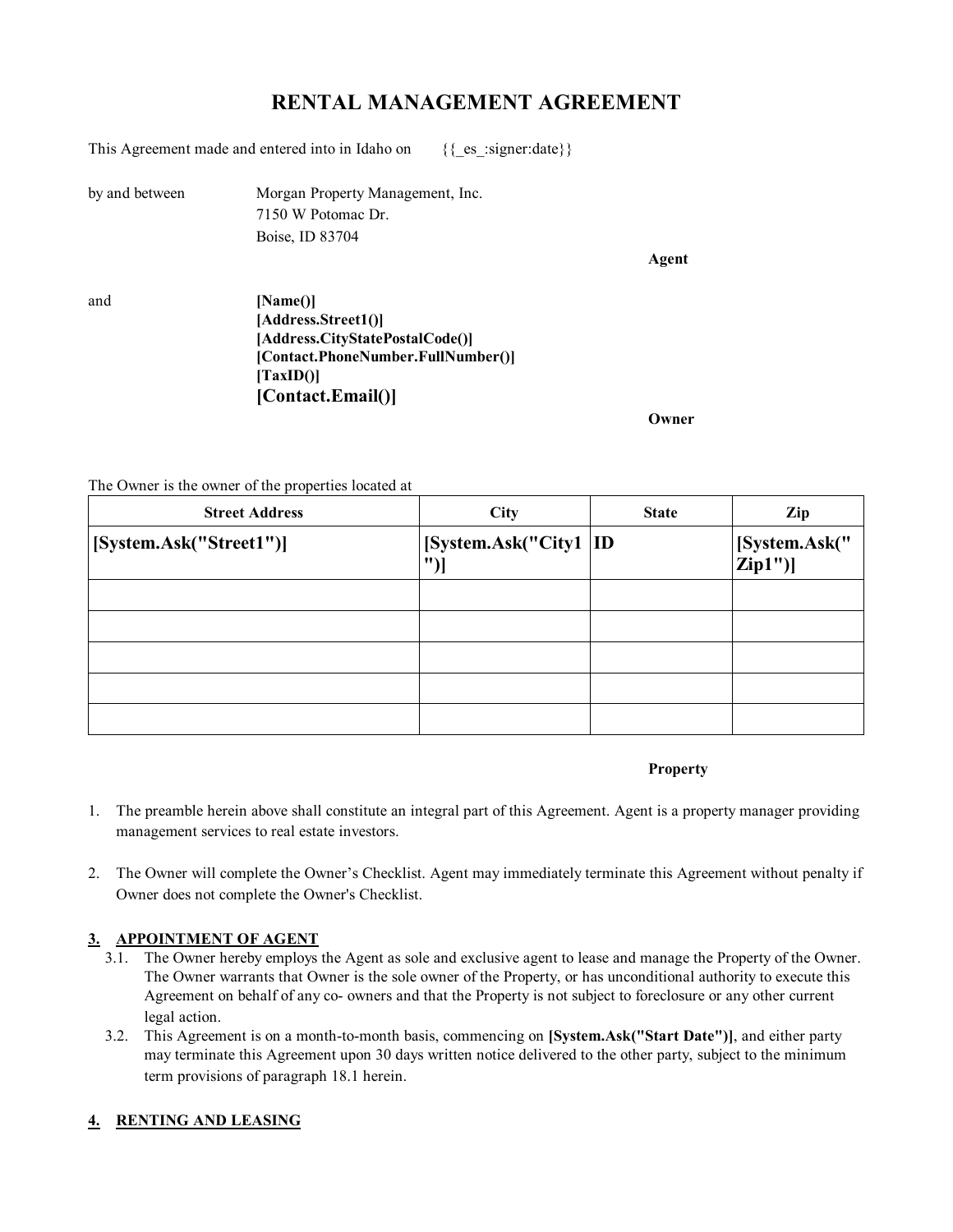# **RENTAL MANAGEMENT AGREEMENT**

This Agreement made and entered into in Idaho on  $\{$ \_{es}:signer:date}}

by and between Morgan Property Management, Inc. 7150 W Potomac Dr. Boise, ID 83704

**Agent**

and **[Name()] [Address.Street1()] [Address.CityStatePostalCode()] [Contact.PhoneNumber.FullNumber()] [TaxID()] [Contact.Email()]**

**Owner**

The Owner is the owner of the properties located at

| <b>Street Address</b>   | City                          | <b>State</b> | Zip                       |
|-------------------------|-------------------------------|--------------|---------------------------|
| [System.Ask("Street1")] | [System.Ask("City1   ID<br>"` |              | [System.Ask("<br> Zip1")] |
|                         |                               |              |                           |
|                         |                               |              |                           |
|                         |                               |              |                           |
|                         |                               |              |                           |
|                         |                               |              |                           |

**Property**

- 1. The preamble herein above shall constitute an integral part of this Agreement. Agent is a property manager providing management services to real estate investors.
- 2. The Owner will complete the Owner's Checklist. Agent may immediately terminate this Agreement without penalty if Owner does not complete the Owner's Checklist.

# **3. APPOINTMENT OF AGENT**

- 3.1. The Owner hereby employs the Agent as sole and exclusive agent to lease and manage the Property of the Owner. The Owner warrants that Owner is the sole owner of the Property, or has unconditional authority to execute this Agreement on behalf of any co- owners and that the Property is not subject to foreclosure or any other current legal action.
- 3.2. This Agreement is on a month-to-month basis, commencing on **[System.Ask("Start Date")]**, and either party may terminate this Agreement upon 30 days written notice delivered to the other party, subject to the minimum term provisions of paragraph 18.1 herein.

# **4. RENTING AND LEASING**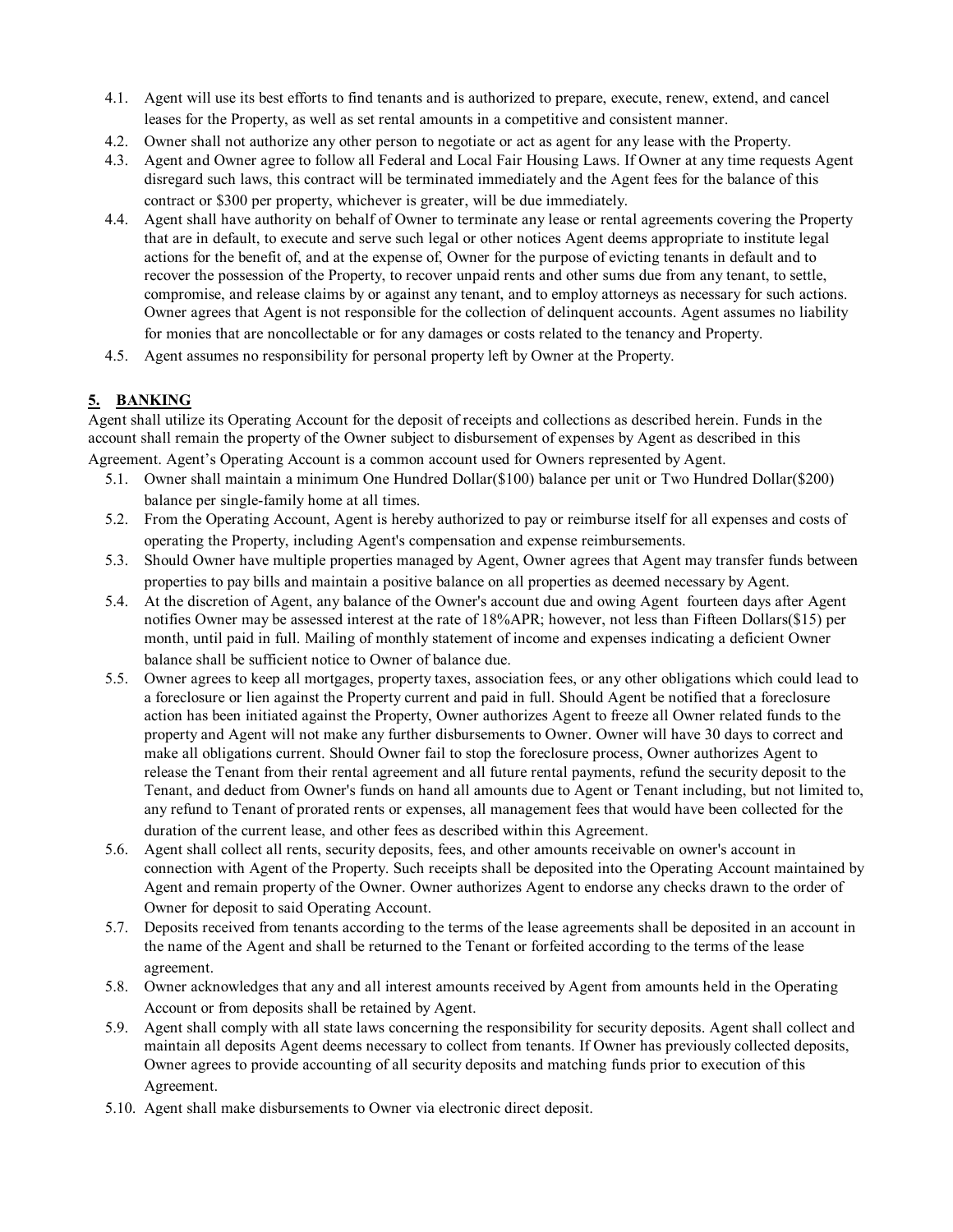- 4.1. Agent will use its best efforts to find tenants and is authorized to prepare, execute, renew, extend, and cancel leases for the Property, as well as set rental amounts in a competitive and consistent manner.
- 4.2. Owner shall not authorize any other person to negotiate or act as agent for any lease with the Property.
- 4.3. Agent and Owner agree to follow all Federal and Local Fair Housing Laws. If Owner at any time requests Agent disregard such laws, this contract will be terminated immediately and the Agent fees for the balance of this contract or \$300 per property, whichever is greater, will be due immediately.
- 4.4. Agent shall have authority on behalf of Owner to terminate any lease or rental agreements covering the Property that are in default, to execute and serve such legal or other notices Agent deems appropriate to institute legal actions for the benefit of, and at the expense of, Owner for the purpose of evicting tenants in default and to recover the possession of the Property, to recover unpaid rents and other sums due from any tenant, to settle, compromise, and release claims by or against any tenant, and to employ attorneys as necessary for such actions. Owner agrees that Agent is not responsible for the collection of delinquent accounts. Agent assumes no liability for monies that are noncollectable or for any damages or costs related to the tenancy and Property.
- 4.5. Agent assumes no responsibility for personal property left by Owner at the Property.

# **5. BANKING**

Agent shall utilize its Operating Account for the deposit of receipts and collections as described herein. Funds in the account shall remain the property of the Owner subject to disbursement of expenses by Agent as described in this Agreement. Agent's Operating Account is a common account used for Owners represented by Agent.

- 5.1. Owner shall maintain a minimum One Hundred Dollar(\$100) balance per unit or Two Hundred Dollar(\$200) balance per single-family home at all times.
- 5.2. From the Operating Account, Agent is hereby authorized to pay or reimburse itself for all expenses and costs of operating the Property, including Agent's compensation and expense reimbursements.
- 5.3. Should Owner have multiple properties managed by Agent, Owner agrees that Agent may transfer funds between properties to pay bills and maintain a positive balance on all properties as deemed necessary by Agent.
- 5.4. At the discretion of Agent, any balance of the Owner's account due and owing Agent fourteen days after Agent notifies Owner may be assessed interest at the rate of 18%APR; however, not less than Fifteen Dollars(\$15) per month, until paid in full. Mailing of monthly statement of income and expenses indicating a deficient Owner balance shall be sufficient notice to Owner of balance due.
- 5.5. Owner agrees to keep all mortgages, property taxes, association fees, or any other obligations which could lead to a foreclosure or lien against the Property current and paid in full. Should Agent be notified that a foreclosure action has been initiated against the Property, Owner authorizes Agent to freeze all Owner related funds to the property and Agent will not make any further disbursements to Owner. Owner will have 30 days to correct and make all obligations current. Should Owner fail to stop the foreclosure process, Owner authorizes Agent to release the Tenant from their rental agreement and all future rental payments, refund the security deposit to the Tenant, and deduct from Owner's funds on hand all amounts due to Agent or Tenant including, but not limited to, any refund to Tenant of prorated rents or expenses, all management fees that would have been collected for the duration of the current lease, and other fees as described within this Agreement.
- 5.6. Agent shall collect all rents, security deposits, fees, and other amounts receivable on owner's account in connection with Agent of the Property. Such receipts shall be deposited into the Operating Account maintained by Agent and remain property of the Owner. Owner authorizes Agent to endorse any checks drawn to the order of Owner for deposit to said Operating Account.
- 5.7. Deposits received from tenants according to the terms of the lease agreements shall be deposited in an account in the name of the Agent and shall be returned to the Tenant or forfeited according to the terms of the lease agreement.
- 5.8. Owner acknowledges that any and all interest amounts received by Agent from amounts held in the Operating Account or from deposits shall be retained by Agent.
- 5.9. Agent shall comply with all state laws concerning the responsibility for security deposits. Agent shall collect and maintain all deposits Agent deems necessary to collect from tenants. If Owner has previously collected deposits, Owner agrees to provide accounting of all security deposits and matching funds prior to execution of this Agreement.
- 5.10. Agent shall make disbursements to Owner via electronic direct deposit.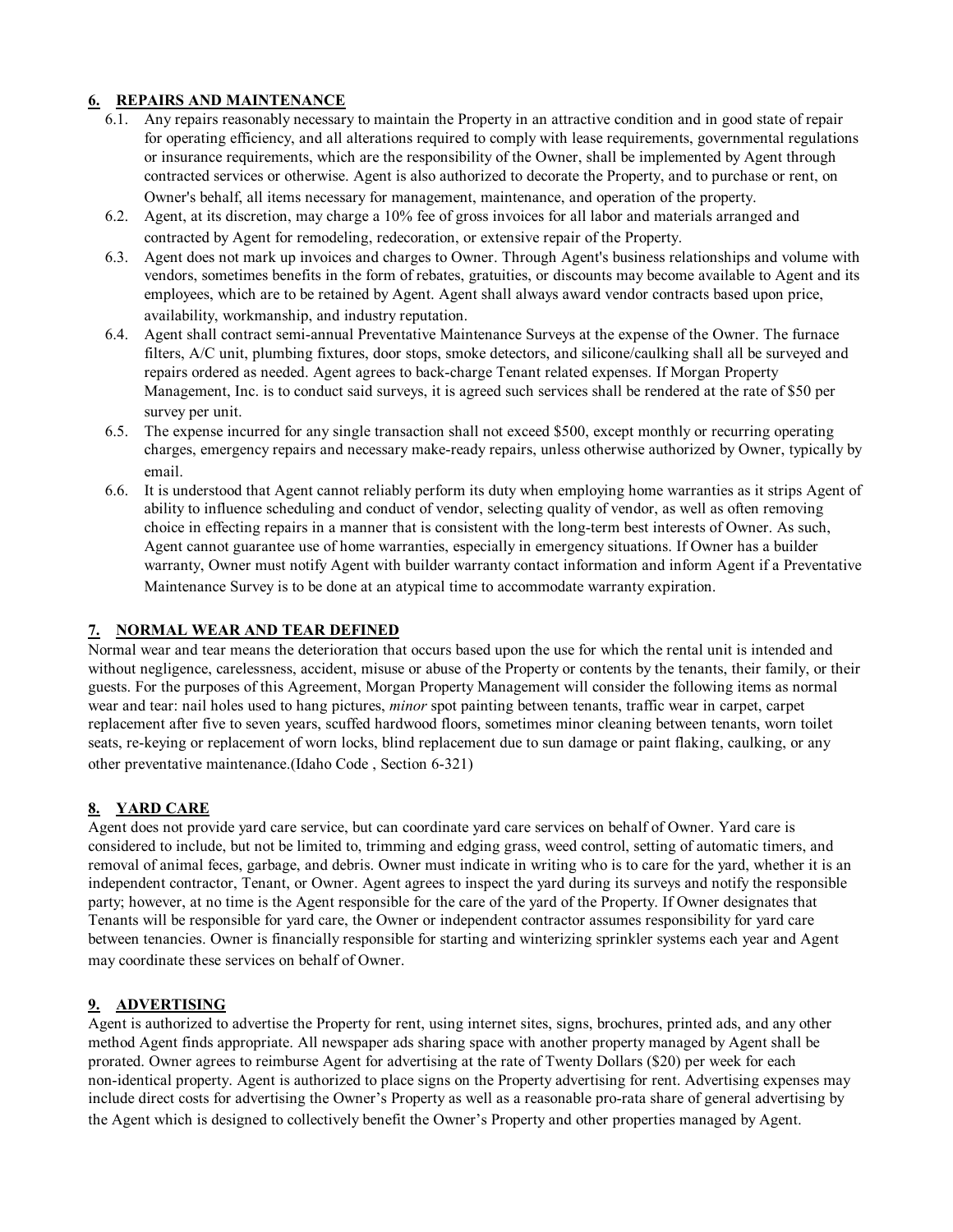## **6. REPAIRS AND MAINTENANCE**

- 6.1. Any repairs reasonably necessary to maintain the Property in an attractive condition and in good state of repair for operating efficiency, and all alterations required to comply with lease requirements, governmental regulations or insurance requirements, which are the responsibility of the Owner, shall be implemented by Agent through contracted services or otherwise. Agent is also authorized to decorate the Property, and to purchase or rent, on Owner's behalf, all items necessary for management, maintenance, and operation of the property.
- 6.2. Agent, at its discretion, may charge a 10% fee of gross invoices for all labor and materials arranged and contracted by Agent for remodeling, redecoration, or extensive repair of the Property.
- 6.3. Agent does not mark up invoices and charges to Owner. Through Agent's business relationships and volume with vendors, sometimes benefits in the form of rebates, gratuities, or discounts may become available to Agent and its employees, which are to be retained by Agent. Agent shall always award vendor contracts based upon price, availability, workmanship, and industry reputation.
- 6.4. Agent shall contract semi-annual Preventative Maintenance Surveys at the expense of the Owner. The furnace filters, A/C unit, plumbing fixtures, door stops, smoke detectors, and silicone/caulking shall all be surveyed and repairs ordered as needed. Agent agrees to back-charge Tenant related expenses. If Morgan Property Management, Inc. is to conduct said surveys, it is agreed such services shall be rendered at the rate of \$50 per survey per unit.
- 6.5. The expense incurred for any single transaction shall not exceed \$500, except monthly or recurring operating charges, emergency repairs and necessary make-ready repairs, unless otherwise authorized by Owner, typically by email.
- 6.6. It is understood that Agent cannot reliably perform its duty when employing home warranties as it strips Agent of ability to influence scheduling and conduct of vendor, selecting quality of vendor, as well as often removing choice in effecting repairs in a manner that is consistent with the long-term best interests of Owner. As such, Agent cannot guarantee use of home warranties, especially in emergency situations. If Owner has a builder warranty, Owner must notify Agent with builder warranty contact information and inform Agent if a Preventative Maintenance Survey is to be done at an atypical time to accommodate warranty expiration.

## **7. NORMAL WEAR AND TEAR DEFINED**

Normal wear and tear means the deterioration that occurs based upon the use for which the rental unit is intended and without negligence, carelessness, accident, misuse or abuse of the Property or contents by the tenants, their family, or their guests. For the purposes of this Agreement, Morgan Property Management will consider the following items as normal wear and tear: nail holes used to hang pictures, *minor* spot painting between tenants, traffic wear in carpet, carpet replacement after five to seven years, scuffed hardwood floors, sometimes minor cleaning between tenants, worn toilet seats, re-keying or replacement of worn locks, blind replacement due to sun damage or paint flaking, caulking, or any other preventative maintenance.(Idaho Code , Section 6-321)

# **8. YARD CARE**

Agent does not provide yard care service, but can coordinate yard care services on behalf of Owner. Yard care is considered to include, but not be limited to, trimming and edging grass, weed control, setting of automatic timers, and removal of animal feces, garbage, and debris. Owner must indicate in writing who is to care for the yard, whether it is an independent contractor, Tenant, or Owner. Agent agrees to inspect the yard during its surveys and notify the responsible party; however, at no time is the Agent responsible for the care of the yard of the Property. If Owner designates that Tenants will be responsible for yard care, the Owner or independent contractor assumes responsibility for yard care between tenancies. Owner is financially responsible for starting and winterizing sprinkler systems each year and Agent may coordinate these services on behalf of Owner.

# **9. ADVERTISING**

Agent is authorized to advertise the Property for rent, using internet sites, signs, brochures, printed ads, and any other method Agent finds appropriate. All newspaper ads sharing space with another property managed by Agent shall be prorated. Owner agrees to reimburse Agent for advertising at the rate of Twenty Dollars (\$20) per week for each non-identical property. Agent is authorized to place signs on the Property advertising for rent. Advertising expenses may include direct costs for advertising the Owner's Property as well as a reasonable pro-rata share of general advertising by the Agent which is designed to collectively benefit the Owner's Property and other properties managed by Agent.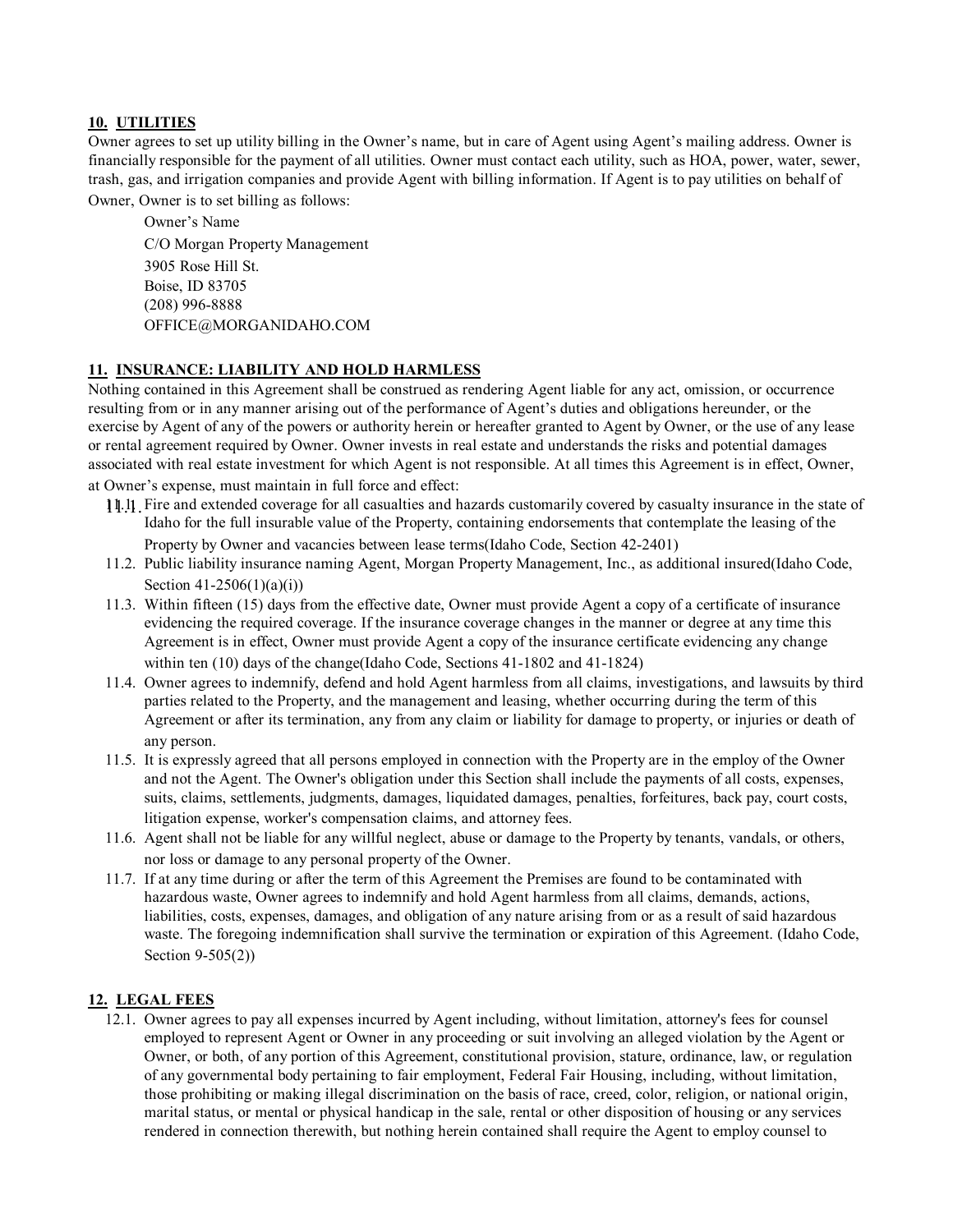## **10. UTILITIES**

Owner agrees to set up utility billing in the Owner's name, but in care of Agent using Agent's mailing address. Owner is financially responsible for the payment of all utilities. Owner must contact each utility, such as HOA, power, water, sewer, trash, gas, and irrigation companies and provide Agent with billing information. If Agent is to pay utilities on behalf of Owner, Owner is to set billing as follows:

Owner's Name C/O Morgan Property Management 3905 Rose Hill St. Boise, ID 83705 (208) 996-8888 OFFICE@MORGANIDAHO.COM

#### **11. INSURANCE: LIABILITY AND HOLD HARMLESS**

Nothing contained in this Agreement shall be construed as rendering Agent liable for any act, omission, or occurrence resulting from or in any manner arising out of the performance of Agent's duties and obligations hereunder, or the exercise by Agent of any of the powers or authority herein or hereafter granted to Agent by Owner, or the use of any lease or rental agreement required by Owner. Owner invests in real estate and understands the risks and potential damages associated with real estate investment for which Agent is not responsible. At all times this Agreement is in effect, Owner, at Owner's expense, must maintain in full force and effect:

- 11.1. 11.1. Fire and extended coverage for all casualties and hazards customarily covered by casualty insurance in the state of Idaho for the full insurable value of the Property, containing endorsements that contemplate the leasing of the Property by Owner and vacancies between lease terms(Idaho Code, Section 42-2401)
- 11.2. Public liability insurance naming Agent, Morgan Property Management, Inc., as additional insured(Idaho Code, Section 41-2506(1)(a)(i))
- 11.3. Within fifteen (15) days from the effective date, Owner must provide Agent a copy of a certificate of insurance evidencing the required coverage. If the insurance coverage changes in the manner or degree at any time this Agreement is in effect, Owner must provide Agent a copy of the insurance certificate evidencing any change within ten (10) days of the change(Idaho Code, Sections 41-1802 and 41-1824)
- 11.4. Owner agrees to indemnify, defend and hold Agent harmless from all claims, investigations, and lawsuits by third parties related to the Property, and the management and leasing, whether occurring during the term of this Agreement or after its termination, any from any claim or liability for damage to property, or injuries or death of any person.
- 11.5. It is expressly agreed that all persons employed in connection with the Property are in the employ of the Owner and not the Agent. The Owner's obligation under this Section shall include the payments of all costs, expenses, suits, claims, settlements, judgments, damages, liquidated damages, penalties, forfeitures, back pay, court costs, litigation expense, worker's compensation claims, and attorney fees.
- 11.6. Agent shall not be liable for any willful neglect, abuse or damage to the Property by tenants, vandals, or others, nor loss or damage to any personal property of the Owner.
- 11.7. If at any time during or after the term of this Agreement the Premises are found to be contaminated with hazardous waste, Owner agrees to indemnify and hold Agent harmless from all claims, demands, actions, liabilities, costs, expenses, damages, and obligation of any nature arising from or as a result of said hazardous waste. The foregoing indemnification shall survive the termination or expiration of this Agreement. (Idaho Code, Section 9-505(2))

## **12. LEGAL FEES**

12.1. Owner agrees to pay all expenses incurred by Agent including, without limitation, attorney's fees for counsel employed to represent Agent or Owner in any proceeding or suit involving an alleged violation by the Agent or Owner, or both, of any portion of this Agreement, constitutional provision, stature, ordinance, law, or regulation of any governmental body pertaining to fair employment, Federal Fair Housing, including, without limitation, those prohibiting or making illegal discrimination on the basis of race, creed, color, religion, or national origin, marital status, or mental or physical handicap in the sale, rental or other disposition of housing or any services rendered in connection therewith, but nothing herein contained shall require the Agent to employ counsel to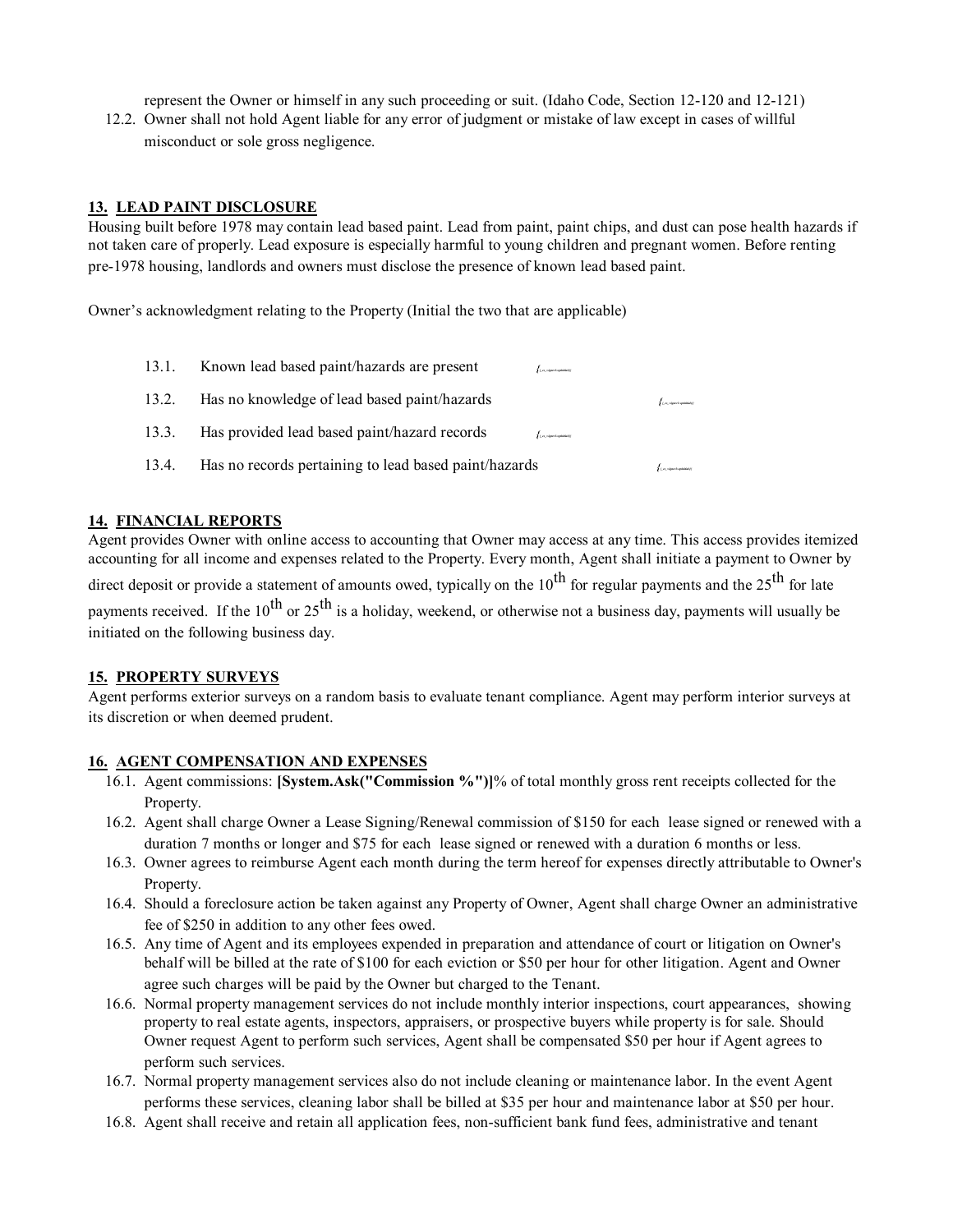represent the Owner or himself in any such proceeding or suit. (Idaho Code, Section 12-120 and 12-121)

12.2. Owner shall not hold Agent liable for any error of judgment or mistake of law except in cases of willful misconduct or sole gross negligence.

#### **13. LEAD PAINT DISCLOSURE**

Housing built before 1978 may contain lead based paint. Lead from paint, paint chips, and dust can pose health hazards if not taken care of properly. Lead exposure is especially harmful to young children and pregnant women. Before renting pre-1978 housing, landlords and owners must disclose the presence of known lead based paint.

Owner's acknowledgment relating to the Property (Initial the two that are applicable)

| 13.1. | Known lead based paint/hazards are present<br><b>ALACAN CONSUMER</b>                   |                          |
|-------|----------------------------------------------------------------------------------------|--------------------------|
| 13.2. | Has no knowledge of lead based paint/hazards                                           | Les signatophildes       |
| 13.3. | Has provided lead based paint/hazard records<br>$f_{\ell,m}$ algorithm (and solution)) |                          |
| 13.4. | Has no records pertaining to lead based paint/hazards                                  | <b>Les sinestrations</b> |

#### **14. FINANCIAL REPORTS**

Agent provides Owner with online access to accounting that Owner may access at any time. This access provides itemized accounting for all income and expenses related to the Property. Every month, Agent shall initiate a payment to Owner by direct deposit or provide a statement of amounts owed, typically on the  $10^{th}$  for regular payments and the  $25^{th}$  for late payments received. If the  $10^{th}$  or  $25^{th}$  is a holiday, weekend, or otherwise not a business day, payments will usually be initiated on the following business day.

#### **15. PROPERTY SURVEYS**

Agent performs exterior surveys on a random basis to evaluate tenant compliance. Agent may perform interior surveys at its discretion or when deemed prudent.

#### **16. AGENT COMPENSATION AND EXPENSES**

- 16.1. Agent commissions: **[System.Ask("Commission %")]**% of total monthly gross rent receipts collected for the Property.
- 16.2. Agent shall charge Owner a Lease Signing/Renewal commission of \$150 for each lease signed or renewed with a duration 7 months or longer and \$75 for each lease signed or renewed with a duration 6 months or less.
- 16.3. Owner agrees to reimburse Agent each month during the term hereof for expenses directly attributable to Owner's Property.
- 16.4. Should a foreclosure action be taken against any Property of Owner, Agent shall charge Owner an administrative fee of \$250 in addition to any other fees owed.
- 16.5. Any time of Agent and its employees expended in preparation and attendance of court or litigation on Owner's behalf will be billed at the rate of \$100 for each eviction or \$50 per hour for other litigation. Agent and Owner agree such charges will be paid by the Owner but charged to the Tenant.
- 16.6. Normal property management services do not include monthly interior inspections, court appearances, showing property to real estate agents, inspectors, appraisers, or prospective buyers while property is for sale. Should Owner request Agent to perform such services, Agent shall be compensated \$50 per hour if Agent agrees to perform such services.
- 16.7. Normal property management services also do not include cleaning or maintenance labor. In the event Agent performs these services, cleaning labor shall be billed at \$35 per hour and maintenance labor at \$50 per hour.
- 16.8. Agent shall receive and retain all application fees, non-sufficient bank fund fees, administrative and tenant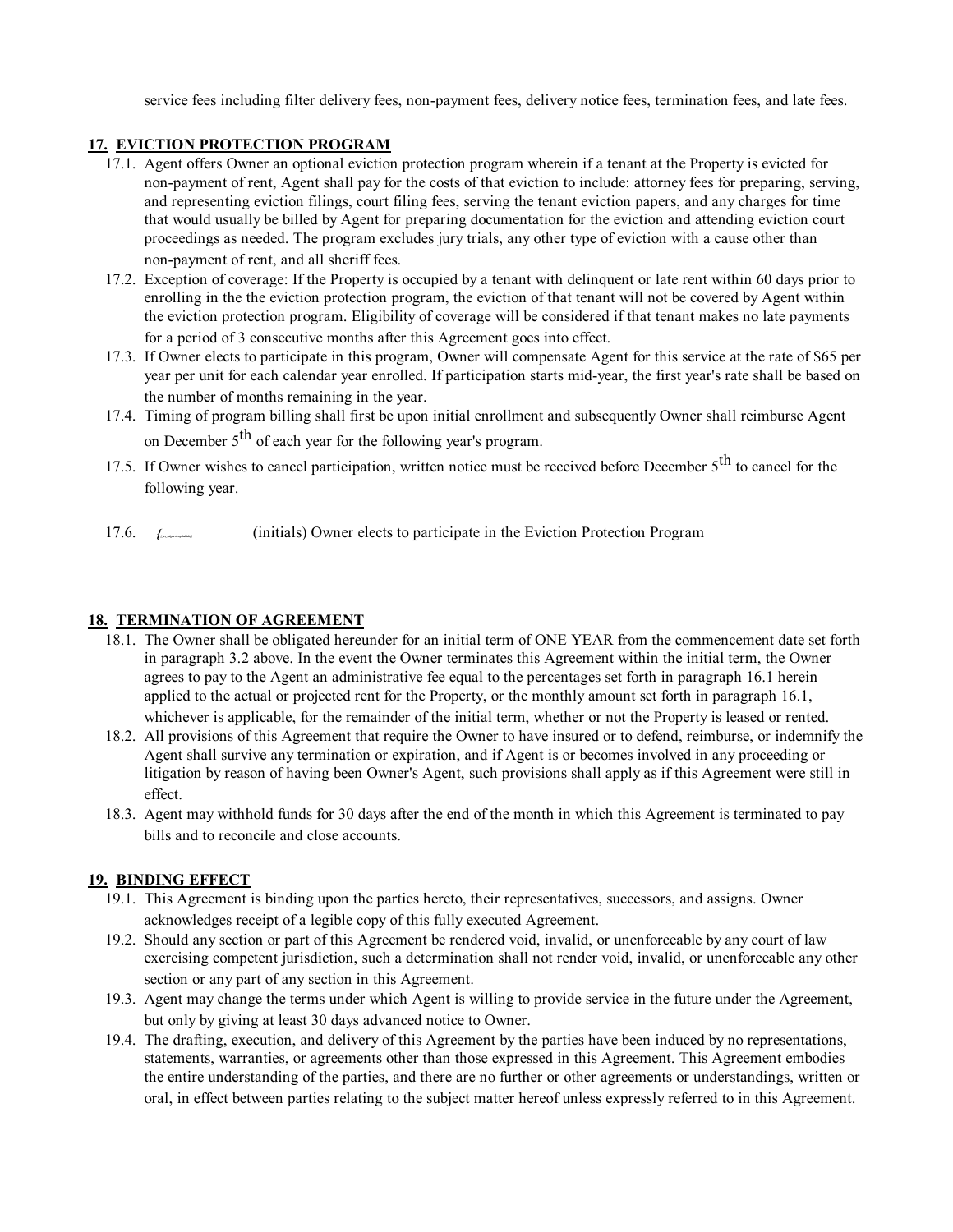service fees including filter delivery fees, non-payment fees, delivery notice fees, termination fees, and late fees.

## **17. EVICTION PROTECTION PROGRAM**

- 17.1. Agent offers Owner an optional eviction protection program wherein if a tenant at the Property is evicted for non-payment of rent, Agent shall pay for the costs of that eviction to include: attorney fees for preparing, serving, and representing eviction filings, court filing fees, serving the tenant eviction papers, and any charges for time that would usually be billed by Agent for preparing documentation for the eviction and attending eviction court proceedings as needed. The program excludes jury trials, any other type of eviction with a cause other than non-payment of rent, and all sheriff fees.
- 17.2. Exception of coverage: If the Property is occupied by a tenant with delinquent or late rent within 60 days prior to enrolling in the the eviction protection program, the eviction of that tenant will not be covered by Agent within the eviction protection program. Eligibility of coverage will be considered if that tenant makes no late payments for a period of 3 consecutive months after this Agreement goes into effect.
- 17.3. If Owner elects to participate in this program, Owner will compensate Agent for this service at the rate of \$65 per year per unit for each calendar year enrolled. If participation starts mid-year, the first year's rate shall be based on the number of months remaining in the year.
- 17.4. Timing of program billing shall first be upon initial enrollment and subsequently Owner shall reimburse Agent on December  $5<sup>th</sup>$  of each year for the following year's program.
- 17.5. If Owner wishes to cancel participation, written notice must be received before December 5<sup>th</sup> to cancel for the following year.
- 17.6. *{{\_es\_:signer1:optinitials}}* (initials) Owner elects to participate in the Eviction Protection Program

#### **18. TERMINATION OF AGREEMENT**

- 18.1. The Owner shall be obligated hereunder for an initial term of ONE YEAR from the commencement date set forth in paragraph 3.2 above. In the event the Owner terminates this Agreement within the initial term, the Owner agrees to pay to the Agent an administrative fee equal to the percentages set forth in paragraph 16.1 herein applied to the actual or projected rent for the Property, or the monthly amount set forth in paragraph 16.1, whichever is applicable, for the remainder of the initial term, whether or not the Property is leased or rented.
- 18.2. All provisions of this Agreement that require the Owner to have insured or to defend, reimburse, or indemnify the Agent shall survive any termination or expiration, and if Agent is or becomes involved in any proceeding or litigation by reason of having been Owner's Agent, such provisions shall apply as if this Agreement were still in effect.
- 18.3. Agent may withhold funds for 30 days after the end of the month in which this Agreement is terminated to pay bills and to reconcile and close accounts.

## **19. BINDING EFFECT**

- 19.1. This Agreement is binding upon the parties hereto, their representatives, successors, and assigns. Owner acknowledges receipt of a legible copy of this fully executed Agreement.
- 19.2. Should any section or part of this Agreement be rendered void, invalid, or unenforceable by any court of law exercising competent jurisdiction, such a determination shall not render void, invalid, or unenforceable any other section or any part of any section in this Agreement.
- 19.3. Agent may change the terms under which Agent is willing to provide service in the future under the Agreement, but only by giving at least 30 days advanced notice to Owner.
- 19.4. The drafting, execution, and delivery of this Agreement by the parties have been induced by no representations, statements, warranties, or agreements other than those expressed in this Agreement. This Agreement embodies the entire understanding of the parties, and there are no further or other agreements or understandings, written or oral, in effect between parties relating to the subject matter hereof unless expressly referred to in this Agreement.